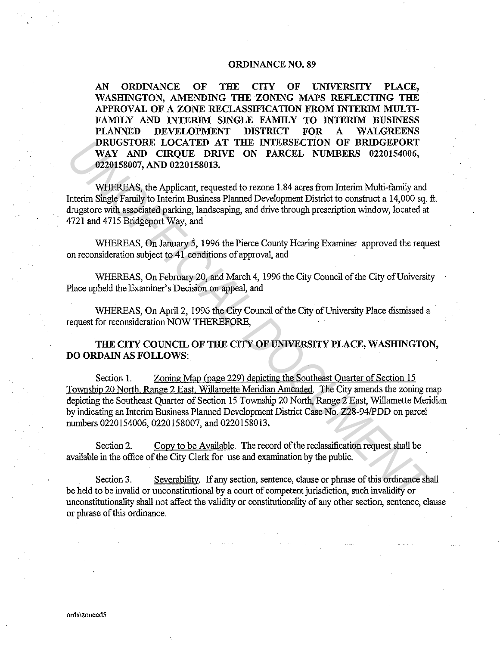## **ORDINANCE NO. 89**

**AN ORDINANCE OF THE CITY OF UNIVERSITY PLACE, WASHINGTON, AMENDING THE ZONING MAPS REFLECTING THE APPROVAL OF A ZONE RECLASSIFICATION FROM INTERIM MULTI-FAMILY AND INTERIM SINGLE FAMILY TO INTERIM BUSINESS PLANNED DEVELOPMENT DISTRICT FOR A WALGREENS DRUGSTORE LOCATED AT THE INTERSECTION OF BRIDGEPORT WAY AND CIRQUE DRIVE ON PARCEL NUMBERS 0220154006, 0220158007, AND 0220158013.** 

WHEREAS, the Applicant, requested to rezone 1.84 acres from Interim Multi-family and Interim Single Family to Interim Business Planned Development District to construct a 14,000 sq. ft. drugstore with associated parking, landscaping, and drive through prescription window, located at 4721 and 4715 Bridgeport Way, and

WHEREAS, On January 5, 1996 the Pierce County Hearing Examiner approved the request on reconsideration subject to 41 conditions of approval, and

WHEREAS, On February 20, and March 4, 1996 the City Council of the City of University Place upheld the Examiner's Decision on appeal, and

WHEREAS, On April 2, 1996 the City Council of the City of University Place dismissed a request for reconsideration NOW THEREFORE,

**THE CITY COUNCIL OF THE CITY OF UNIVERSITY PLACE, WASHINGTON, DO ORDAIN AS FOLLOWS:** 

Section **1.** Zoning Map (page 229) depicting the Southeast Quarter of Section 15 Township 20 North, Range 2 East, Willamette Meridian Amended. The City amends the zoning map depicting the Southeast Quarter of Section 15 Township 20 North, Range 2 East, Willamette Meridian by indicating an Interim Business Planned Development District Case No. Z28-94/PDD on parcel numbers 0220154006, 0220158007, and 0220158013. **IDRUCESTORE** LOCATED AT THE EYTEN ENTERCTION OF **BRIDGEPORT**<br>
WAY AND CIRQUE DRIVE DIVERENT (ON PARCEL NUMBERS 0220158007,<br>
0220158007, AND 0220158013.<br>
WHEREAS, the Applicant, requested to rezone 1.84 acres from Interim

Section 2. Copy to be Available. The record of the reclassification request shall be available in the office of the City Clerk for use and examination by the public.

Section 3. Severabilitv. If any section, sentence, clause or phrase of this ordinance shall be held to be invalid or unconstitutional by a court of competent jurisdiction, such invalidity or unconstitutionality shall not affect the validity or constitutionality of any other section, sentence, clause or phrase of this ordinance.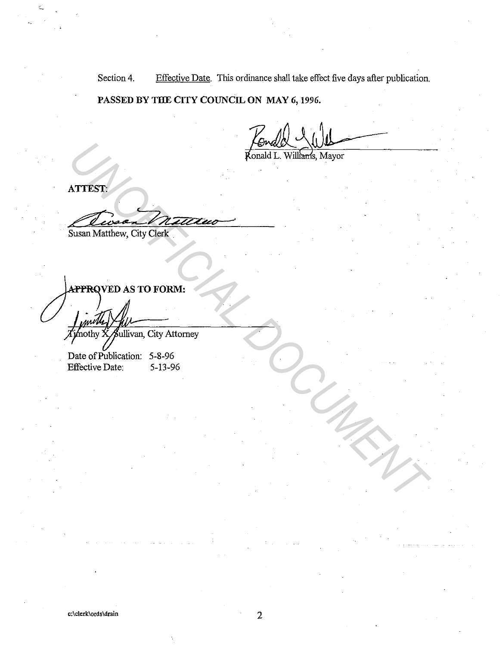Section 4. Effective Date. This ordinance shall take effect five days after publication.

PASSED BY THE CITY COUNCIL ON MAY 6, 1996.

ATTEST:

Susan Matthew, City Clerk

ATTEST!<br>
ATTEST!<br>
<u>ATTEST!</u><br>
SUSAN MATHEW, City Clark<br>
APTROVED AS TO FORM:<br>
APTROVED AS TO FORM:<br>
APTROVED AS TO FORM:<br>
Date of Publisitor, City Attorney<br>
Date of Publisitor, City Attorney<br>
The Date: 5-13-96<br>
Altertive Da

Date of Publication: 5-8-96<br>Effective Date: 5-13-96 Effective Date: